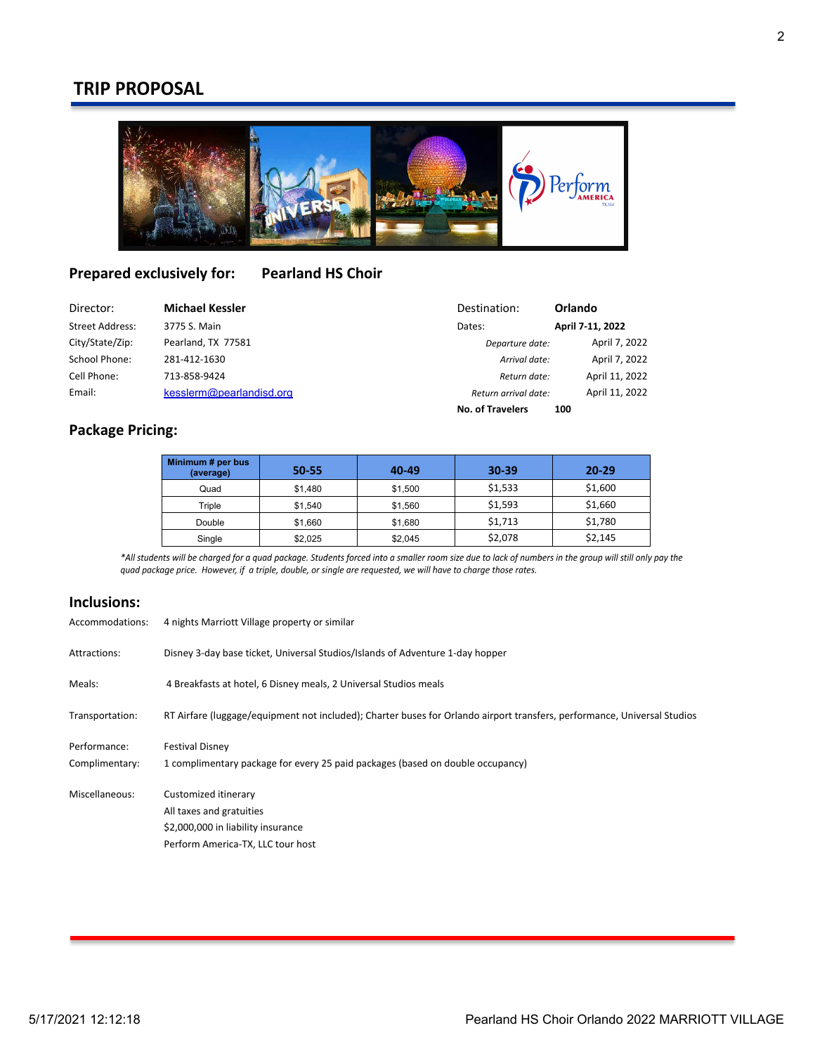# **TRIP PROPOSAL**



# **Prepared exclusively for: Pearland HS Choir**

| Director:              | <b>Michael Kessler</b>   | Destination:            | Orlando          |
|------------------------|--------------------------|-------------------------|------------------|
| <b>Street Address:</b> | 3775 S. Main             | Dates:                  | April 7-11, 2022 |
| City/State/Zip:        | Pearland, TX 77581       | Departure date:         | April 7, 2022    |
| School Phone:          | 281-412-1630             | Arrival date:           | April 7, 2022    |
| Cell Phone:            | 713-858-9424             | Return date:            | April 11, 2022   |
| Email:                 | kesslerm@pearlandisd.org | Return arrival date:    | April 11, 2022   |
|                        |                          | <b>No. of Travelers</b> | 100              |

## **Package Pricing:**

| Minimum # per bus<br>(average) | $50 - 55$ | 40-49   | $30 - 39$ | $20 - 29$ |
|--------------------------------|-----------|---------|-----------|-----------|
| Quad                           | \$1,480   | \$1,500 | \$1,533   | \$1,600   |
| Triple                         | \$1.540   | \$1,560 | \$1,593   | \$1,660   |
| Double                         | \$1,660   | \$1,680 | \$1.713   | \$1,780   |
| Single                         | \$2,025   | \$2,045 | \$2,078   | \$2,145   |

\*All students will be charged for a quad package. Students forced into a smaller room size due to lack of numbers in the group will still only pay the quad package price. However, if a triple, double, or single are requested, we will have to charge those rates.

## **Inclusions:**

| Accommodations:                | 4 nights Marriott Village property or similar                                                                               |  |  |
|--------------------------------|-----------------------------------------------------------------------------------------------------------------------------|--|--|
| Attractions:                   | Disney 3-day base ticket, Universal Studios/Islands of Adventure 1-day hopper                                               |  |  |
| Meals:                         | 4 Breakfasts at hotel, 6 Disney meals, 2 Universal Studios meals                                                            |  |  |
| Transportation:                | RT Airfare (luggage/equipment not included); Charter buses for Orlando airport transfers, performance, Universal Studios    |  |  |
| Performance:<br>Complimentary: | <b>Festival Disney</b><br>1 complimentary package for every 25 paid packages (based on double occupancy)                    |  |  |
| Miscellaneous:                 | Customized itinerary<br>All taxes and gratuities<br>\$2,000,000 in liability insurance<br>Perform America-TX, LLC tour host |  |  |